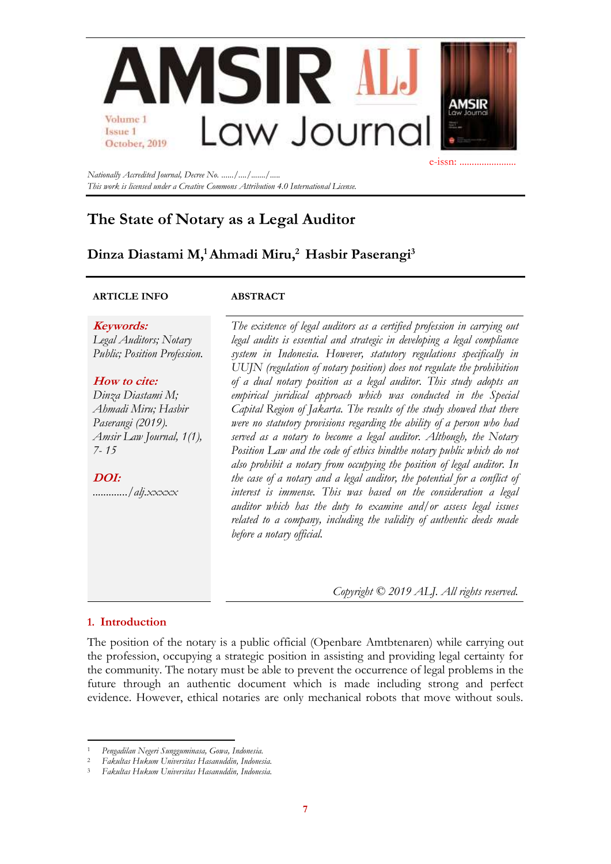

*Nationally Accredited Journal, Decree No. ....../..../......./..... This work is licensed under a Creative Commons Attribution 4.0 International License.*

# **The State of Notary as a Legal Auditor**

## **Dinza Diastami M,<sup>1</sup>Ahmadi Miru,<sup>2</sup> Hasbir Paserangi<sup>3</sup>**

#### **ARTICLE INFO ABSTRACT**

**Keywords:** *Legal Auditors; Notary Public; Position Profession.*

#### **How to cite:**

*Dinza Diastami M; Ahmadi Miru; Hasbir Paserangi (2019). Amsir Law Journal, 1(1), 7- 15*

**DOI:** *............./alj.xxxxx*

*The existence of legal auditors as a certified profession in carrying out legal audits is essential and strategic in developing a legal compliance system in Indonesia. However, statutory regulations specifically in UUJN (regulation of notary position) does not regulate the prohibition of a dual notary position as a legal auditor. This study adopts an empirical juridical approach which was conducted in the Special Capital Region of Jakarta. The results of the study showed that there were no statutory provisions regarding the ability of a person who had served as a notary to become a legal auditor. Although, the Notary Position Law and the code of ethics bindthe notary public which do not also prohibit a notary from occupying the position of legal auditor. In the case of a notary and a legal auditor, the potential for a conflict of interest is immense. This was based on the consideration a legal auditor which has the duty to examine and/or assess legal issues related to a company, including the validity of authentic deeds made before a notary official.*

*Copyright © 2019 ALJ. All rights reserved.*

### **1. Introduction**

The position of the notary is a public official (Openbare Amtbtenaren) while carrying out the profession, occupying a strategic position in assisting and providing legal certainty for the community. The notary must be able to prevent the occurrence of legal problems in the future through an authentic document which is made including strong and perfect evidence. However, ethical notaries are only mechanical robots that move without souls.

<sup>1</sup> *Pengadilan Negeri Sungguminasa, Gowa, Indonesia.*

<sup>2</sup> *Fakultas Hukum Universitas Hasanuddin, Indonesia.*

<sup>3</sup> *Fakultas Hukum Universitas Hasanuddin, Indonesia.*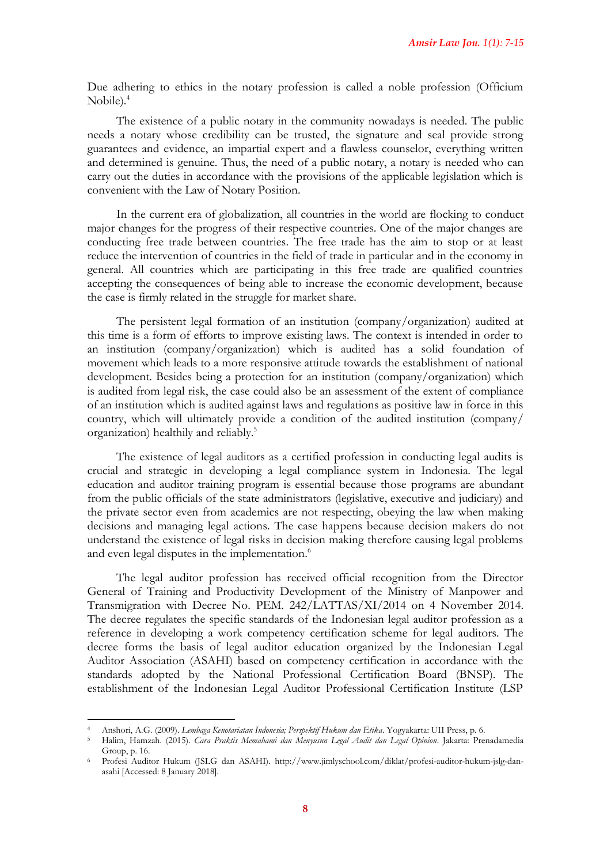Due adhering to ethics in the notary profession is called a noble profession (Officium Nobile).<sup>4</sup>

The existence of a public notary in the community nowadays is needed. The public needs a notary whose credibility can be trusted, the signature and seal provide strong guarantees and evidence, an impartial expert and a flawless counselor, everything written and determined is genuine. Thus, the need of a public notary, a notary is needed who can carry out the duties in accordance with the provisions of the applicable legislation which is convenient with the Law of Notary Position.

In the current era of globalization, all countries in the world are flocking to conduct major changes for the progress of their respective countries. One of the major changes are conducting free trade between countries. The free trade has the aim to stop or at least reduce the intervention of countries in the field of trade in particular and in the economy in general. All countries which are participating in this free trade are qualified countries accepting the consequences of being able to increase the economic development, because the case is firmly related in the struggle for market share.

The persistent legal formation of an institution (company/organization) audited at this time is a form of efforts to improve existing laws. The context is intended in order to an institution (company/organization) which is audited has a solid foundation of movement which leads to a more responsive attitude towards the establishment of national development. Besides being a protection for an institution (company/organization) which is audited from legal risk, the case could also be an assessment of the extent of compliance of an institution which is audited against laws and regulations as positive law in force in this country, which will ultimately provide a condition of the audited institution (company/ organization) healthily and reliably.<sup>5</sup>

The existence of legal auditors as a certified profession in conducting legal audits is crucial and strategic in developing a legal compliance system in Indonesia. The legal education and auditor training program is essential because those programs are abundant from the public officials of the state administrators (legislative, executive and judiciary) and the private sector even from academics are not respecting, obeying the law when making decisions and managing legal actions. The case happens because decision makers do not understand the existence of legal risks in decision making therefore causing legal problems and even legal disputes in the implementation.<sup>6</sup>

The legal auditor profession has received official recognition from the Director General of Training and Productivity Development of the Ministry of Manpower and Transmigration with Decree No. PEM. 242/LATTAS/XI/2014 on 4 November 2014. The decree regulates the specific standards of the Indonesian legal auditor profession as a reference in developing a work competency certification scheme for legal auditors. The decree forms the basis of legal auditor education organized by the Indonesian Legal Auditor Association (ASAHI) based on competency certification in accordance with the standards adopted by the National Professional Certification Board (BNSP). The establishment of the Indonesian Legal Auditor Professional Certification Institute (LSP

<sup>4</sup> Anshori, A.G. (2009). *Lembaga Kenotariatan Indonesia; Perspektif Hukum dan Etika*. Yogyakarta: UII Press, p. 6.

<sup>5</sup> Halim, Hamzah. (2015). *Cara Praktis Memahami dan Menyusun Legal Audit dan Legal Opinion*. Jakarta: Prenadamedia Group, p. 16.

<sup>6</sup> Profesi Auditor Hukum (JSLG dan ASAHI). [http://www.jimlyschool.com/diklat/profesi-auditor-hukum-jslg-dan](http://www.jimlyschool.com/diklat/profesi-auditor-hukum-jslg-dan-asahi)[asahi](http://www.jimlyschool.com/diklat/profesi-auditor-hukum-jslg-dan-asahi) [Accessed: 8 January 2018].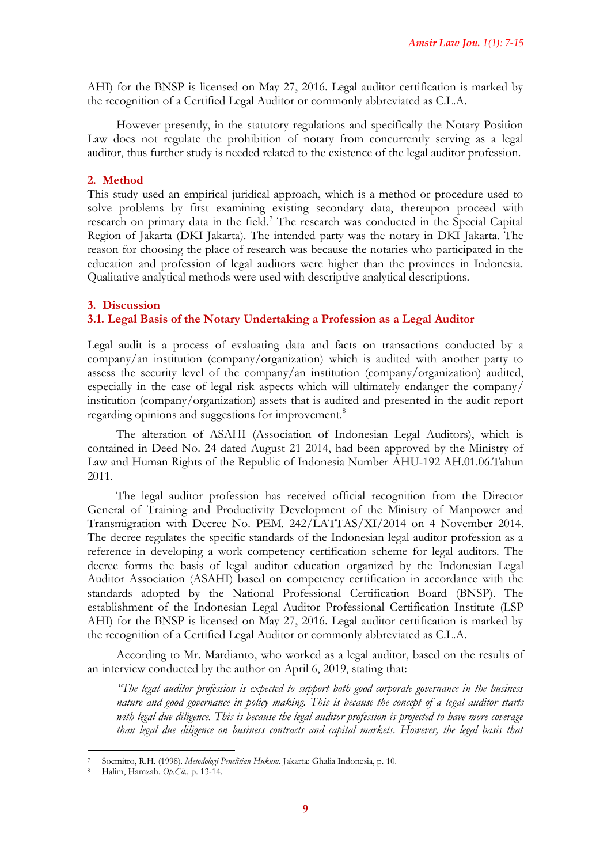AHI) for the BNSP is licensed on May 27, 2016. Legal auditor certification is marked by the recognition of a Certified Legal Auditor or commonly abbreviated as C.L.A.

However presently, in the statutory regulations and specifically the Notary Position Law does not regulate the prohibition of notary from concurrently serving as a legal auditor, thus further study is needed related to the existence of the legal auditor profession.

#### **2. Method**

This study used an empirical juridical approach, which is a method or procedure used to solve problems by first examining existing secondary data, thereupon proceed with research on primary data in the field.<sup>7</sup> The research was conducted in the Special Capital Region of Jakarta (DKI Jakarta). The intended party was the notary in DKI Jakarta. The reason for choosing the place of research was because the notaries who participated in the education and profession of legal auditors were higher than the provinces in Indonesia. Qualitative analytical methods were used with descriptive analytical descriptions.

#### **3. Discussion**

#### **3.1. Legal Basis of the Notary Undertaking a Profession as a Legal Auditor**

Legal audit is a process of evaluating data and facts on transactions conducted by a company/an institution (company/organization) which is audited with another party to assess the security level of the company/an institution (company/organization) audited, especially in the case of legal risk aspects which will ultimately endanger the company/ institution (company/organization) assets that is audited and presented in the audit report regarding opinions and suggestions for improvement.<sup>8</sup>

The alteration of ASAHI (Association of Indonesian Legal Auditors), which is contained in Deed No. 24 dated August 21 2014, had been approved by the Ministry of Law and Human Rights of the Republic of Indonesia Number AHU-192 AH.01.06.Tahun 2011.

The legal auditor profession has received official recognition from the Director General of Training and Productivity Development of the Ministry of Manpower and Transmigration with Decree No. PEM. 242/LATTAS/XI/2014 on 4 November 2014. The decree regulates the specific standards of the Indonesian legal auditor profession as a reference in developing a work competency certification scheme for legal auditors. The decree forms the basis of legal auditor education organized by the Indonesian Legal Auditor Association (ASAHI) based on competency certification in accordance with the standards adopted by the National Professional Certification Board (BNSP). The establishment of the Indonesian Legal Auditor Professional Certification Institute (LSP AHI) for the BNSP is licensed on May 27, 2016. Legal auditor certification is marked by the recognition of a Certified Legal Auditor or commonly abbreviated as C.L.A.

According to Mr. Mardianto, who worked as a legal auditor, based on the results of an interview conducted by the author on April 6, 2019, stating that:

*"The legal auditor profession is expected to support both good corporate governance in the business nature and good governance in policy making. This is because the concept of a legal auditor starts with legal due diligence. This is because the legal auditor profession is projected to have more coverage than legal due diligence on business contracts and capital markets. However, the legal basis that* 

<sup>7</sup> Soemitro, R.H. (1998). *Metodologi Penelitian Hukum.* Jakarta: Ghalia Indonesia, p. 10.

<sup>8</sup> Halim, Hamzah. *Op.Cit.,* p. 13-14.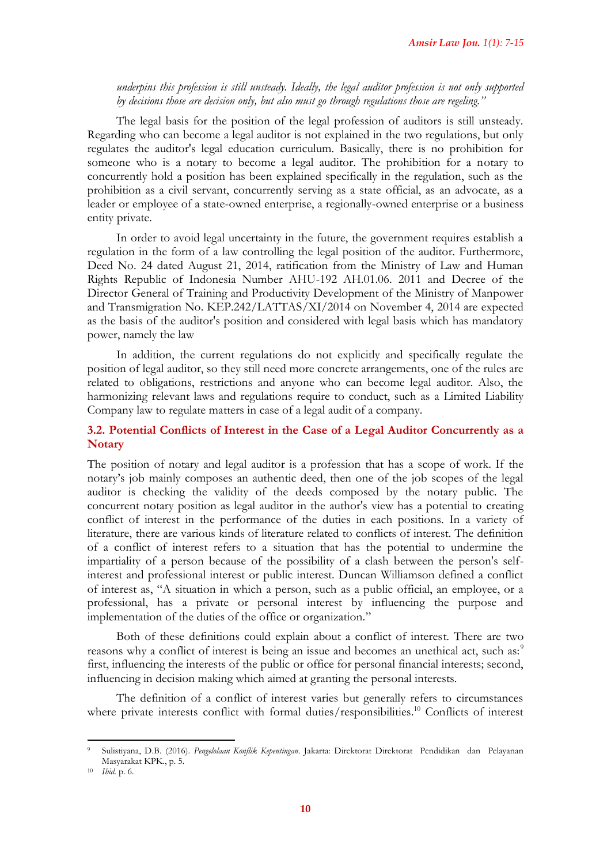*underpins this profession is still unsteady. Ideally, the legal auditor profession is not only supported by decisions those are decision only, but also must go through regulations those are regeling."*

The legal basis for the position of the legal profession of auditors is still unsteady. Regarding who can become a legal auditor is not explained in the two regulations, but only regulates the auditor's legal education curriculum. Basically, there is no prohibition for someone who is a notary to become a legal auditor. The prohibition for a notary to concurrently hold a position has been explained specifically in the regulation, such as the prohibition as a civil servant, concurrently serving as a state official, as an advocate, as a leader or employee of a state-owned enterprise, a regionally-owned enterprise or a business entity private.

In order to avoid legal uncertainty in the future, the government requires establish a regulation in the form of a law controlling the legal position of the auditor. Furthermore, Deed No. 24 dated August 21, 2014, ratification from the Ministry of Law and Human Rights Republic of Indonesia Number AHU-192 AH.01.06. 2011 and Decree of the Director General of Training and Productivity Development of the Ministry of Manpower and Transmigration No. KEP.242/LATTAS/XI/2014 on November 4, 2014 are expected as the basis of the auditor's position and considered with legal basis which has mandatory power, namely the law

In addition, the current regulations do not explicitly and specifically regulate the position of legal auditor, so they still need more concrete arrangements, one of the rules are related to obligations, restrictions and anyone who can become legal auditor. Also, the harmonizing relevant laws and regulations require to conduct, such as a Limited Liability Company law to regulate matters in case of a legal audit of a company.

### **3.2. Potential Conflicts of Interest in the Case of a Legal Auditor Concurrently as a Notary**

The position of notary and legal auditor is a profession that has a scope of work. If the notary's job mainly composes an authentic deed, then one of the job scopes of the legal auditor is checking the validity of the deeds composed by the notary public. The concurrent notary position as legal auditor in the author's view has a potential to creating conflict of interest in the performance of the duties in each positions. In a variety of literature, there are various kinds of literature related to conflicts of interest. The definition of a conflict of interest refers to a situation that has the potential to undermine the impartiality of a person because of the possibility of a clash between the person's selfinterest and professional interest or public interest. Duncan Williamson defined a conflict of interest as, "A situation in which a person, such as a public official, an employee, or a professional, has a private or personal interest by influencing the purpose and implementation of the duties of the office or organization."

Both of these definitions could explain about a conflict of interest. There are two reasons why a conflict of interest is being an issue and becomes an unethical act, such as:<sup>9</sup> first, influencing the interests of the public or office for personal financial interests; second, influencing in decision making which aimed at granting the personal interests.

The definition of a conflict of interest varies but generally refers to circumstances where private interests conflict with formal duties/responsibilities.<sup>10</sup> Conflicts of interest

<sup>9</sup> Sulistiyana, D.B. (2016). *Pengelolaan Konflik Kepentingan*. Jakarta: Direktorat Direktorat Pendidikan dan Pelayanan Masyarakat KPK., p. 5.

<sup>10</sup> *Ibid.* p. 6.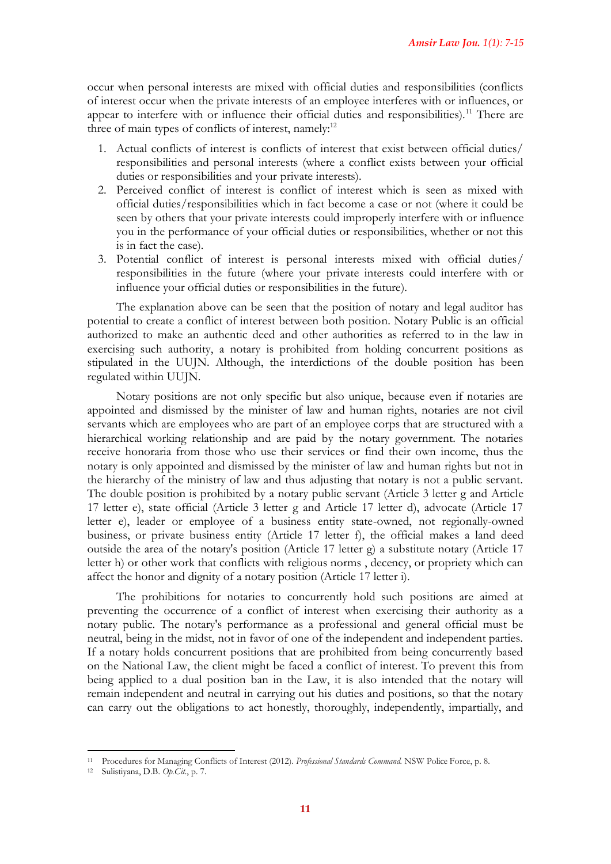occur when personal interests are mixed with official duties and responsibilities (conflicts of interest occur when the private interests of an employee interferes with or influences, or appear to interfere with or influence their official duties and responsibilities).<sup>11</sup> There are three of main types of conflicts of interest, namely:<sup>12</sup>

- 1. Actual conflicts of interest is conflicts of interest that exist between official duties/ responsibilities and personal interests (where a conflict exists between your official duties or responsibilities and your private interests).
- 2. Perceived conflict of interest is conflict of interest which is seen as mixed with official duties/responsibilities which in fact become a case or not (where it could be seen by others that your private interests could improperly interfere with or influence you in the performance of your official duties or responsibilities, whether or not this is in fact the case).
- 3. Potential conflict of interest is personal interests mixed with official duties/ responsibilities in the future (where your private interests could interfere with or influence your official duties or responsibilities in the future).

The explanation above can be seen that the position of notary and legal auditor has potential to create a conflict of interest between both position. Notary Public is an official authorized to make an authentic deed and other authorities as referred to in the law in exercising such authority, a notary is prohibited from holding concurrent positions as stipulated in the UUJN. Although, the interdictions of the double position has been regulated within UUJN.

Notary positions are not only specific but also unique, because even if notaries are appointed and dismissed by the minister of law and human rights, notaries are not civil servants which are employees who are part of an employee corps that are structured with a hierarchical working relationship and are paid by the notary government. The notaries receive honoraria from those who use their services or find their own income, thus the notary is only appointed and dismissed by the minister of law and human rights but not in the hierarchy of the ministry of law and thus adjusting that notary is not a public servant. The double position is prohibited by a notary public servant (Article 3 letter g and Article 17 letter e), state official (Article 3 letter g and Article 17 letter d), advocate (Article 17 letter e), leader or employee of a business entity state-owned, not regionally-owned business, or private business entity (Article 17 letter f), the official makes a land deed outside the area of the notary's position (Article 17 letter g) a substitute notary (Article 17 letter h) or other work that conflicts with religious norms , decency, or propriety which can affect the honor and dignity of a notary position (Article 17 letter i).

The prohibitions for notaries to concurrently hold such positions are aimed at preventing the occurrence of a conflict of interest when exercising their authority as a notary public. The notary's performance as a professional and general official must be neutral, being in the midst, not in favor of one of the independent and independent parties. If a notary holds concurrent positions that are prohibited from being concurrently based on the National Law, the client might be faced a conflict of interest. To prevent this from being applied to a dual position ban in the Law, it is also intended that the notary will remain independent and neutral in carrying out his duties and positions, so that the notary can carry out the obligations to act honestly, thoroughly, independently, impartially, and

<sup>11</sup> Procedures for Managing Conflicts of Interest (2012). *Professional Standards Command.* NSW Police Force, p. 8.

<sup>12</sup> Sulistiyana, D.B. *Op.Cit*., p. 7.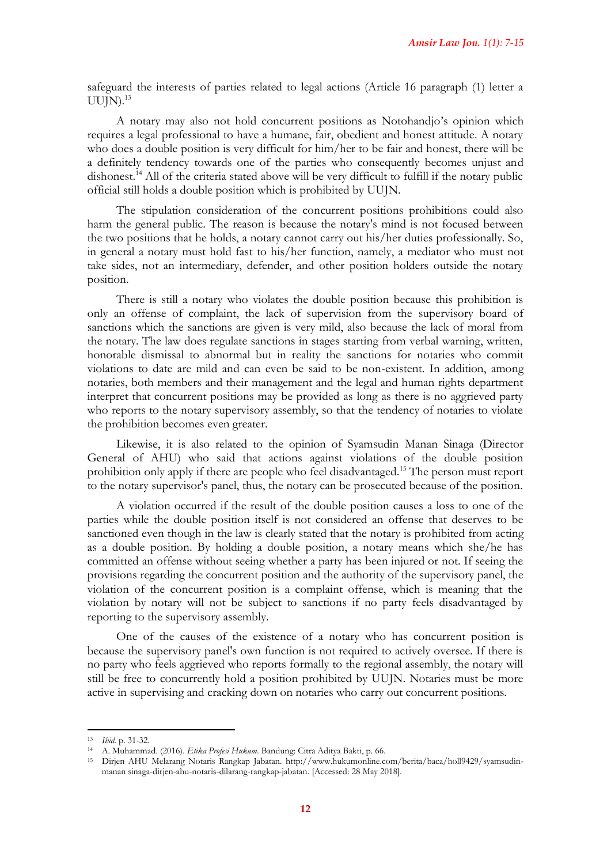safeguard the interests of parties related to legal actions (Article 16 paragraph (1) letter a  $UUIN$ .<sup>13</sup>

A notary may also not hold concurrent positions as Notohandjo's opinion which requires a legal professional to have a humane, fair, obedient and honest attitude. A notary who does a double position is very difficult for him/her to be fair and honest, there will be a definitely tendency towards one of the parties who consequently becomes unjust and dishonest.<sup>14</sup> All of the criteria stated above will be very difficult to fulfill if the notary public official still holds a double position which is prohibited by UUJN.

The stipulation consideration of the concurrent positions prohibitions could also harm the general public. The reason is because the notary's mind is not focused between the two positions that he holds, a notary cannot carry out his/her duties professionally. So, in general a notary must hold fast to his/her function, namely, a mediator who must not take sides, not an intermediary, defender, and other position holders outside the notary position.

There is still a notary who violates the double position because this prohibition is only an offense of complaint, the lack of supervision from the supervisory board of sanctions which the sanctions are given is very mild, also because the lack of moral from the notary. The law does regulate sanctions in stages starting from verbal warning, written, honorable dismissal to abnormal but in reality the sanctions for notaries who commit violations to date are mild and can even be said to be non-existent. In addition, among notaries, both members and their management and the legal and human rights department interpret that concurrent positions may be provided as long as there is no aggrieved party who reports to the notary supervisory assembly, so that the tendency of notaries to violate the prohibition becomes even greater.

Likewise, it is also related to the opinion of Syamsudin Manan Sinaga (Director General of AHU) who said that actions against violations of the double position prohibition only apply if there are people who feel disadvantaged.<sup>15</sup> The person must report to the notary supervisor's panel, thus, the notary can be prosecuted because of the position.

A violation occurred if the result of the double position causes a loss to one of the parties while the double position itself is not considered an offense that deserves to be sanctioned even though in the law is clearly stated that the notary is prohibited from acting as a double position. By holding a double position, a notary means which she/he has committed an offense without seeing whether a party has been injured or not. If seeing the provisions regarding the concurrent position and the authority of the supervisory panel, the violation of the concurrent position is a complaint offense, which is meaning that the violation by notary will not be subject to sanctions if no party feels disadvantaged by reporting to the supervisory assembly.

One of the causes of the existence of a notary who has concurrent position is because the supervisory panel's own function is not required to actively oversee. If there is no party who feels aggrieved who reports formally to the regional assembly, the notary will still be free to concurrently hold a position prohibited by UUJN. Notaries must be more active in supervising and cracking down on notaries who carry out concurrent positions.

<sup>13</sup> *Ibid.* p. 31-32.

<sup>14</sup> A. Muhammad. (2016). *Etika Profesi Hukum*. Bandung: Citra Aditya Bakti, p. 66.

<sup>15</sup> Dirjen AHU Melarang Notaris Rangkap Jabatan. [http://www.hukumonline.com/berita/baca/holl9429/syamsudin](http://www.hukumonline.com/berita/baca/holl9429/syamsudin-manan%20sinaga-dirjen-ahu-notaris-dilarang-rangkap-jabatan)[manan sinaga-dirjen-ahu-notaris-dilarang-rangkap-jabatan.](http://www.hukumonline.com/berita/baca/holl9429/syamsudin-manan%20sinaga-dirjen-ahu-notaris-dilarang-rangkap-jabatan) [Accessed: 28 May 2018].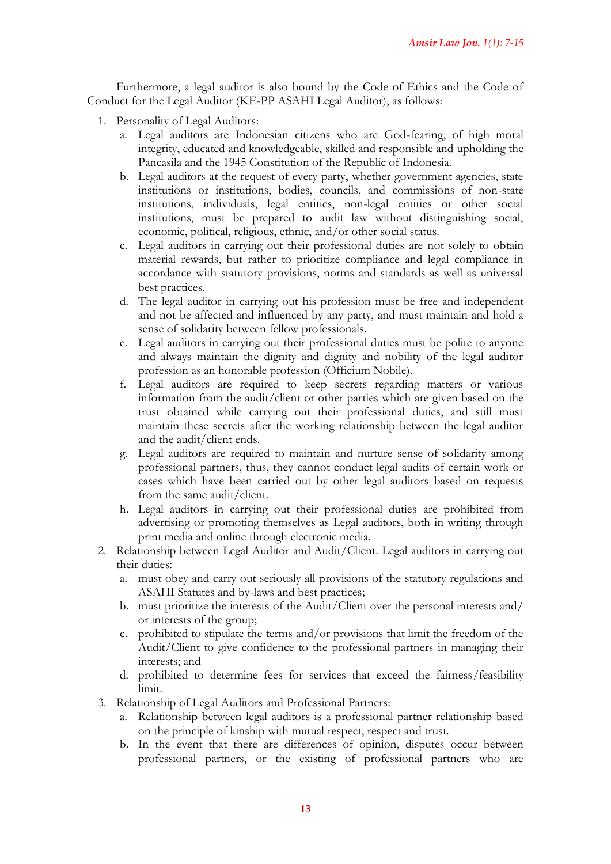Furthermore, a legal auditor is also bound by the Code of Ethics and the Code of Conduct for the Legal Auditor (KE-PP ASAHI Legal Auditor), as follows:

- 1. Personality of Legal Auditors:
	- a. Legal auditors are Indonesian citizens who are God-fearing, of high moral integrity, educated and knowledgeable, skilled and responsible and upholding the Pancasila and the 1945 Constitution of the Republic of Indonesia.
	- b. Legal auditors at the request of every party, whether government agencies, state institutions or institutions, bodies, councils, and commissions of non-state institutions, individuals, legal entities, non-legal entities or other social institutions, must be prepared to audit law without distinguishing social, economic, political, religious, ethnic, and/or other social status.
	- c. Legal auditors in carrying out their professional duties are not solely to obtain material rewards, but rather to prioritize compliance and legal compliance in accordance with statutory provisions, norms and standards as well as universal best practices.
	- d. The legal auditor in carrying out his profession must be free and independent and not be affected and influenced by any party, and must maintain and hold a sense of solidarity between fellow professionals.
	- e. Legal auditors in carrying out their professional duties must be polite to anyone and always maintain the dignity and dignity and nobility of the legal auditor profession as an honorable profession (Officium Nobile).
	- f. Legal auditors are required to keep secrets regarding matters or various information from the audit/client or other parties which are given based on the trust obtained while carrying out their professional duties, and still must maintain these secrets after the working relationship between the legal auditor and the audit/client ends.
	- g. Legal auditors are required to maintain and nurture sense of solidarity among professional partners, thus, they cannot conduct legal audits of certain work or cases which have been carried out by other legal auditors based on requests from the same audit/client.
	- h. Legal auditors in carrying out their professional duties are prohibited from advertising or promoting themselves as Legal auditors, both in writing through print media and online through electronic media.
- 2. Relationship between Legal Auditor and Audit/Client. Legal auditors in carrying out their duties:
	- a. must obey and carry out seriously all provisions of the statutory regulations and ASAHI Statutes and by-laws and best practices;
	- b. must prioritize the interests of the Audit/Client over the personal interests and/ or interests of the group;
	- c. prohibited to stipulate the terms and/or provisions that limit the freedom of the Audit/Client to give confidence to the professional partners in managing their interests; and
	- d. prohibited to determine fees for services that exceed the fairness/feasibility limit.
- 3. Relationship of Legal Auditors and Professional Partners:
	- a. Relationship between legal auditors is a professional partner relationship based on the principle of kinship with mutual respect, respect and trust.
	- b. In the event that there are differences of opinion, disputes occur between professional partners, or the existing of professional partners who are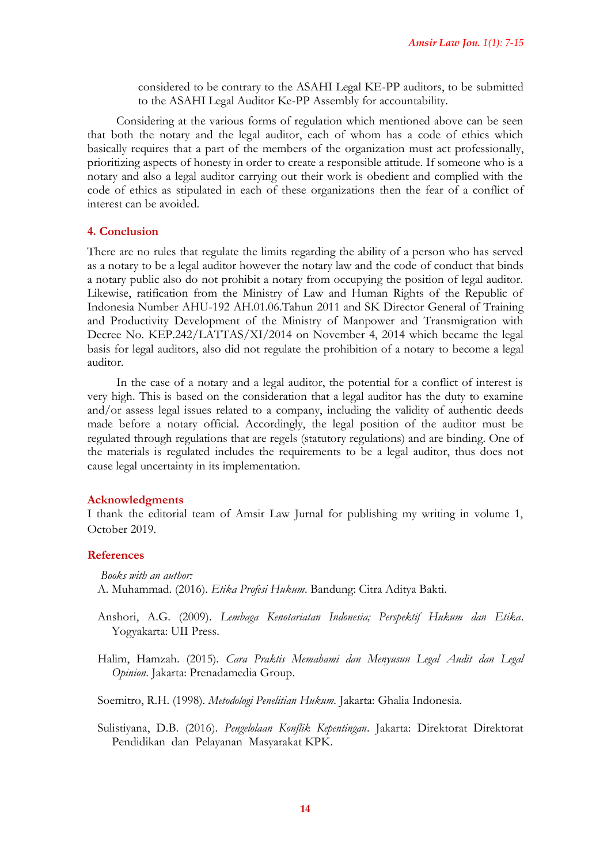considered to be contrary to the ASAHI Legal KE-PP auditors, to be submitted to the ASAHI Legal Auditor Ke-PP Assembly for accountability.

Considering at the various forms of regulation which mentioned above can be seen that both the notary and the legal auditor, each of whom has a code of ethics which basically requires that a part of the members of the organization must act professionally, prioritizing aspects of honesty in order to create a responsible attitude. If someone who is a notary and also a legal auditor carrying out their work is obedient and complied with the code of ethics as stipulated in each of these organizations then the fear of a conflict of interest can be avoided.

#### **4. Conclusion**

There are no rules that regulate the limits regarding the ability of a person who has served as a notary to be a legal auditor however the notary law and the code of conduct that binds a notary public also do not prohibit a notary from occupying the position of legal auditor. Likewise, ratification from the Ministry of Law and Human Rights of the Republic of Indonesia Number AHU-192 AH.01.06.Tahun 2011 and SK Director General of Training and Productivity Development of the Ministry of Manpower and Transmigration with Decree No. KEP.242/LATTAS/XI/2014 on November 4, 2014 which became the legal basis for legal auditors, also did not regulate the prohibition of a notary to become a legal auditor.

In the case of a notary and a legal auditor, the potential for a conflict of interest is very high. This is based on the consideration that a legal auditor has the duty to examine and/or assess legal issues related to a company, including the validity of authentic deeds made before a notary official. Accordingly, the legal position of the auditor must be regulated through regulations that are regels (statutory regulations) and are binding. One of the materials is regulated includes the requirements to be a legal auditor, thus does not cause legal uncertainty in its implementation.

#### **Acknowledgments**

I thank the editorial team of Amsir Law Jurnal for publishing my writing in volume 1, October 2019.

#### **References**

*Books with an author:* A. Muhammad. (2016). *Etika Profesi Hukum*. Bandung: Citra Aditya Bakti.

- Anshori, A.G. (2009). *Lembaga Kenotariatan Indonesia; Perspektif Hukum dan Etika*. Yogyakarta: UII Press.
- Halim, Hamzah. (2015). *Cara Praktis Memahami dan Menyusun Legal Audit dan Legal Opinion*. Jakarta: Prenadamedia Group.

Soemitro, R.H. (1998). *Metodologi Penelitian Hukum.* Jakarta: Ghalia Indonesia.

Sulistiyana, D.B. (2016). *Pengelolaan Konflik Kepentingan*. Jakarta: Direktorat Direktorat Pendidikan dan Pelayanan Masyarakat KPK.